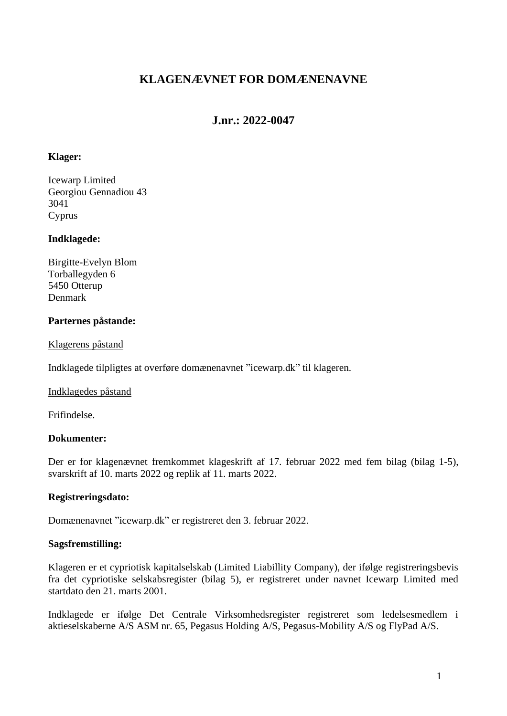# **KLAGENÆVNET FOR DOMÆNENAVNE**

# **J.nr.: 2022-0047**

## **Klager:**

Icewarp Limited Georgiou Gennadiou 43 3041 Cyprus

## **Indklagede:**

Birgitte-Evelyn Blom Torballegyden 6 5450 Otterup Denmark

## **Parternes påstande:**

Klagerens påstand

Indklagede tilpligtes at overføre domænenavnet "icewarp.dk" til klageren.

Indklagedes påstand

Frifindelse.

### **Dokumenter:**

Der er for klagenævnet fremkommet klageskrift af 17. februar 2022 med fem bilag (bilag 1-5), svarskrift af 10. marts 2022 og replik af 11. marts 2022.

# **Registreringsdato:**

Domænenavnet "icewarp.dk" er registreret den 3. februar 2022.

### **Sagsfremstilling:**

Klageren er et cypriotisk kapitalselskab (Limited Liabillity Company), der ifølge registreringsbevis fra det cypriotiske selskabsregister (bilag 5), er registreret under navnet Icewarp Limited med startdato den 21. marts 2001.

Indklagede er ifølge Det Centrale Virksomhedsregister registreret som ledelsesmedlem i aktieselskaberne A/S ASM nr. 65, Pegasus Holding A/S, Pegasus-Mobility A/S og FlyPad A/S.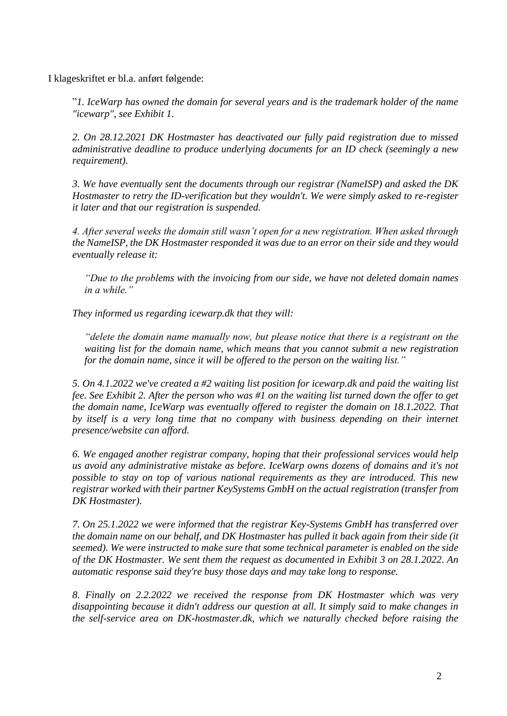I klageskriftet er bl.a. anført følgende:

"*1. IceWarp has owned the domain for several years and is the trademark holder of the name "icewarp", see Exhibit 1.* 

*2. On 28.12.2021 DK Hostmaster has deactivated our fully paid registration due to missed administrative deadline to produce underlying documents for an ID check (seemingly a new requirement).* 

*3. We have eventually sent the documents through our registrar (NameISP) and asked the DK Hostmaster to retry the ID-verification but they wouldn't. We were simply asked to re-register it later and that our registration is suspended.* 

*4. After several weeks the domain still wasn't open for a new registration. When asked through the NameISP, the DK Hostmaster responded it was due to an error on their side and they would eventually release it:* 

*"Due to the problems with the invoicing from our side, we have not deleted domain names in a while."* 

*They informed us regarding icewarp.dk that they will:* 

*"delete the domain name manually now, but please notice that there is a registrant on the waiting list for the domain name, which means that you cannot submit a new registration for the domain name, since it will be offered to the person on the waiting list."* 

*5. On 4.1.2022 we've created a #2 waiting list position for icewarp.dk and paid the waiting list fee. See Exhibit 2. After the person who was #1 on the waiting list turned down the offer to get the domain name, IceWarp was eventually offered to register the domain on 18.1.2022. That by itself is a very long time that no company with business depending on their internet presence/website can afford.* 

*6. We engaged another registrar company, hoping that their professional services would help us avoid any administrative mistake as before. IceWarp owns dozens of domains and it's not possible to stay on top of various national requirements as they are introduced. This new registrar worked with their partner KeySystems GmbH on the actual registration (transfer from DK Hostmaster).* 

*7. On 25.1.2022 we were informed that the registrar Key-Systems GmbH has transferred over the domain name on our behalf, and DK Hostmaster has pulled it back again from their side (it seemed). We were instructed to make sure that some technical parameter is enabled on the side of the DK Hostmaster. We sent them the request as documented in Exhibit 3 on 28.1.2022. An automatic response said they're busy those days and may take long to response.* 

*8. Finally on 2.2.2022 we received the response from DK Hostmaster which was very disappointing because it didn't address our question at all. It simply said to make changes in the self-service area on DK-hostmaster.dk, which we naturally checked before raising the*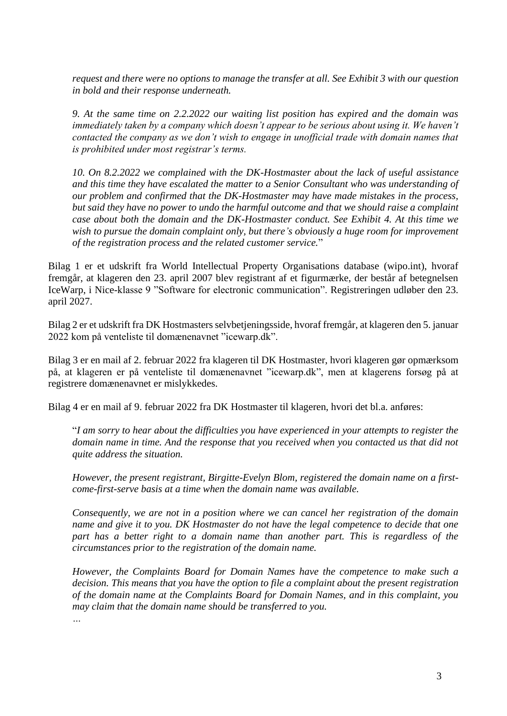*request and there were no options to manage the transfer at all. See Exhibit 3 with our question in bold and their response underneath.* 

*9. At the same time on 2.2.2022 our waiting list position has expired and the domain was immediately taken by a company which doesn't appear to be serious about using it. We haven't contacted the company as we don't wish to engage in unofficial trade with domain names that is prohibited under most registrar's terms.* 

*10. On 8.2.2022 we complained with the DK-Hostmaster about the lack of useful assistance and this time they have escalated the matter to a Senior Consultant who was understanding of our problem and confirmed that the DK-Hostmaster may have made mistakes in the process, but said they have no power to undo the harmful outcome and that we should raise a complaint case about both the domain and the DK-Hostmaster conduct. See Exhibit 4. At this time we*  wish to pursue the domain complaint only, but there's obviously a huge room for improvement *of the registration process and the related customer service.*"

Bilag 1 er et udskrift fra World Intellectual Property Organisations database (wipo.int), hvoraf fremgår, at klageren den 23. april 2007 blev registrant af et figurmærke, der består af betegnelsen IceWarp, i Nice-klasse 9 "Software for electronic communication". Registreringen udløber den 23. april 2027.

Bilag 2 er et udskrift fra DK Hostmasters selvbetjeningsside, hvoraf fremgår, at klageren den 5. januar 2022 kom på venteliste til domænenavnet "icewarp.dk".

Bilag 3 er en mail af 2. februar 2022 fra klageren til DK Hostmaster, hvori klageren gør opmærksom på, at klageren er på venteliste til domænenavnet "icewarp.dk", men at klagerens forsøg på at registrere domænenavnet er mislykkedes.

Bilag 4 er en mail af 9. februar 2022 fra DK Hostmaster til klageren, hvori det bl.a. anføres:

"*I am sorry to hear about the difficulties you have experienced in your attempts to register the domain name in time. And the response that you received when you contacted us that did not quite address the situation.* 

*However, the present registrant, Birgitte-Evelyn Blom, registered the domain name on a firstcome-first-serve basis at a time when the domain name was available.* 

*Consequently, we are not in a position where we can cancel her registration of the domain name and give it to you. DK Hostmaster do not have the legal competence to decide that one part has a better right to a domain name than another part. This is regardless of the circumstances prior to the registration of the domain name.* 

*However, the Complaints Board for Domain Names have the competence to make such a decision. This means that you have the option to file a complaint about the present registration of the domain name at the Complaints Board for Domain Names, and in this complaint, you may claim that the domain name should be transferred to you.*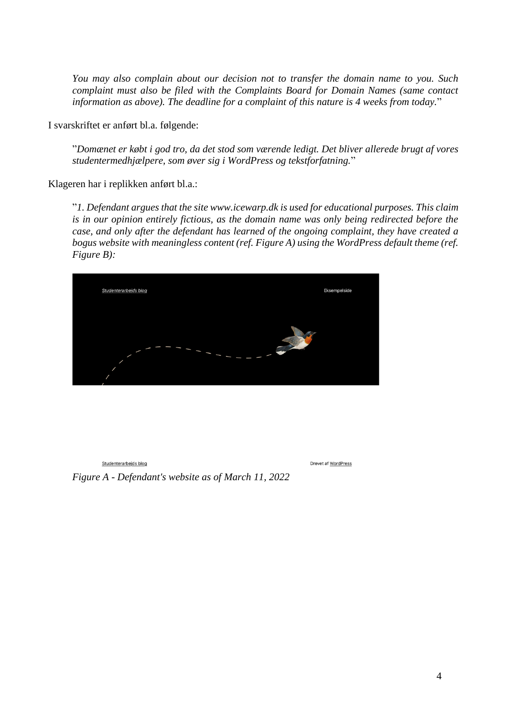*You may also complain about our decision not to transfer the domain name to you. Such complaint must also be filed with the Complaints Board for Domain Names (same contact information as above). The deadline for a complaint of this nature is 4 weeks from today.*"

I svarskriftet er anført bl.a. følgende:

"*Domænet er købt i god tro, da det stod som værende ledigt. Det bliver allerede brugt af vores studentermedhjælpere, som øver sig i WordPress og tekstforfatning.*"

Klageren har i replikken anført bl.a.:

"*1. Defendant argues that the site www.icewarp.dk is used for educational purposes. This claim is in our opinion entirely fictious, as the domain name was only being redirected before the case, and only after the defendant has learned of the ongoing complaint, they have created a bogus website with meaningless content (ref. Figure A) using the WordPress default theme (ref. Figure B):*



Studenterarbejds blog

Drevet af WordPress

*Figure A - Defendant's website as of March 11, 2022*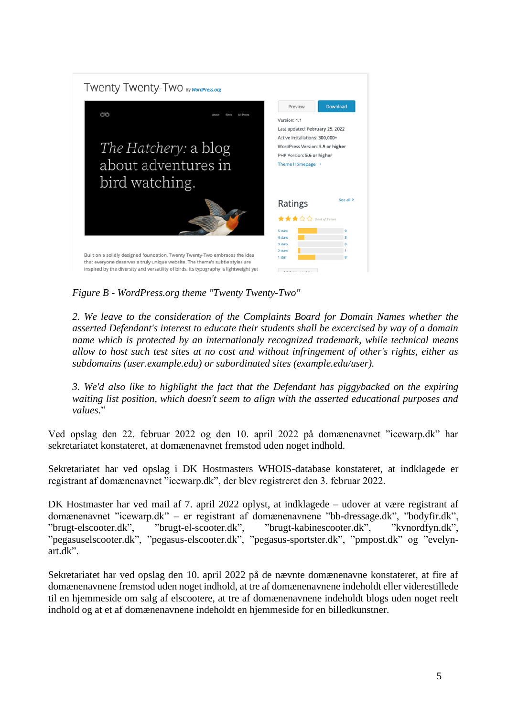

*Figure B - WordPress.org theme "Twenty Twenty-Two"*

*2. We leave to the consideration of the Complaints Board for Domain Names whether the asserted Defendant's interest to educate their students shall be excercised by way of a domain name which is protected by an internationaly recognized trademark, while technical means allow to host such test sites at no cost and without infringement of other's rights, either as subdomains (user.example.edu) or subordinated sites (example.edu/user).* 

*3. We'd also like to highlight the fact that the Defendant has piggybacked on the expiring waiting list position, which doesn't seem to align with the asserted educational purposes and values.*"

Ved opslag den 22. februar 2022 og den 10. april 2022 på domænenavnet "icewarp.dk" har sekretariatet konstateret, at domænenavnet fremstod uden noget indhold.

Sekretariatet har ved opslag i DK Hostmasters WHOIS-database konstateret, at indklagede er registrant af domænenavnet "icewarp.dk", der blev registreret den 3. februar 2022.

DK Hostmaster har ved mail af 7. april 2022 oplyst, at indklagede – udover at være registrant af domænenavnet "icewarp.dk" – er registrant af domænenavnene "bb-dressage.dk", "bodyfir.dk", "brugt-elscooter.dk", "brugt-el-scooter.dk", "brugt-kabinescooter.dk", "kvnordfyn.dk", "pegasuselscooter.dk", "pegasus-elscooter.dk", "pegasus-sportster.dk", "pmpost.dk" og "evelynart.dk".

Sekretariatet har ved opslag den 10. april 2022 på de nævnte domænenavne konstateret, at fire af domænenavnene fremstod uden noget indhold, at tre af domænenavnene indeholdt eller viderestillede til en hjemmeside om salg af elscootere, at tre af domænenavnene indeholdt blogs uden noget reelt indhold og at et af domænenavnene indeholdt en hjemmeside for en billedkunstner.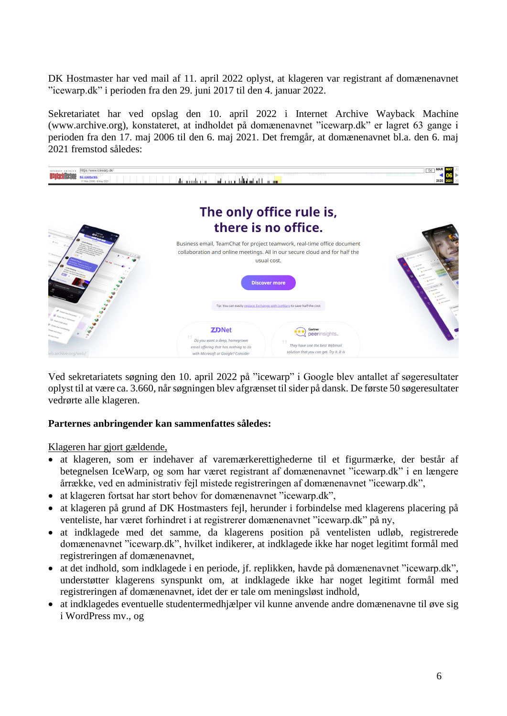DK Hostmaster har ved mail af 11. april 2022 oplyst, at klageren var registrant af domænenavnet "icewarp.dk" i perioden fra den 29. juni 2017 til den 4. januar 2022.

Sekretariatet har ved opslag den 10. april 2022 i Internet Archive Wayback Machine (www.archive.org), konstateret, at indholdet på domænenavnet "icewarp.dk" er lagret 63 gange i perioden fra den 17. maj 2006 til den 6. maj 2021. Det fremgår, at domænenavnet bl.a. den 6. maj 2021 fremstod således:



Ved sekretariatets søgning den 10. april 2022 på "icewarp" i Google blev antallet af søgeresultater oplyst til at være ca. 3.660, når søgningen blev afgrænset til sider på dansk. De første 50 søgeresultater vedrørte alle klageren.

### **Parternes anbringender kan sammenfattes således:**

Klageren har gjort gældende,

- at klageren, som er indehaver af varemærkerettighederne til et figurmærke, der består af betegnelsen IceWarp, og som har været registrant af domænenavnet "icewarp.dk" i en længere årrække, ved en administrativ fejl mistede registreringen af domænenavnet "icewarp.dk",
- at klageren fortsat har stort behov for domænenavnet "icewarp.dk",
- at klageren på grund af DK Hostmasters fejl, herunder i forbindelse med klagerens placering på venteliste, har været forhindret i at registrerer domænenavnet "icewarp.dk" på ny,
- at indklagede med det samme, da klagerens position på ventelisten udløb, registrerede domænenavnet "icewarp.dk", hvilket indikerer, at indklagede ikke har noget legitimt formål med registreringen af domænenavnet,
- at det indhold, som indklagede i en periode, jf. replikken, havde på domænenavnet "icewarp.dk", understøtter klagerens synspunkt om, at indklagede ikke har noget legitimt formål med registreringen af domænenavnet, idet der er tale om meningsløst indhold,
- at indklagedes eventuelle studentermedhjælper vil kunne anvende andre domænenavne til øve sig i WordPress mv., og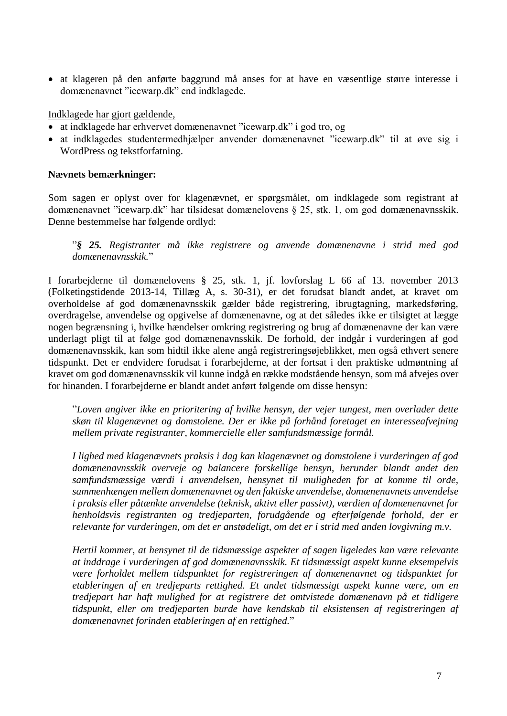• at klageren på den anførte baggrund må anses for at have en væsentlige større interesse i domænenavnet "icewarp.dk" end indklagede.

Indklagede har gjort gældende,

- at indklagede har erhvervet domænenavnet "icewarp.dk" i god tro, og
- at indklagedes studentermedhjælper anvender domænenavnet "icewarp.dk" til at øve sig i WordPress og tekstforfatning.

## **Nævnets bemærkninger:**

Som sagen er oplyst over for klagenævnet, er spørgsmålet, om indklagede som registrant af domænenavnet "icewarp.dk" har tilsidesat domænelovens § 25, stk. 1, om god domænenavnsskik. Denne bestemmelse har følgende ordlyd:

"*§ 25. Registranter må ikke registrere og anvende domænenavne i strid med god domænenavnsskik.*"

I forarbejderne til domænelovens § 25, stk. 1, jf. lovforslag L 66 af 13. november 2013 (Folketingstidende 2013-14, Tillæg A, s. 30-31), er det forudsat blandt andet, at kravet om overholdelse af god domænenavnsskik gælder både registrering, ibrugtagning, markedsføring, overdragelse, anvendelse og opgivelse af domænenavne, og at det således ikke er tilsigtet at lægge nogen begrænsning i, hvilke hændelser omkring registrering og brug af domænenavne der kan være underlagt pligt til at følge god domænenavnsskik. De forhold, der indgår i vurderingen af god domænenavnsskik, kan som hidtil ikke alene angå registreringsøjeblikket, men også ethvert senere tidspunkt. Det er endvidere forudsat i forarbejderne, at der fortsat i den praktiske udmøntning af kravet om god domænenavnsskik vil kunne indgå en række modstående hensyn, som må afvejes over for hinanden. I forarbejderne er blandt andet anført følgende om disse hensyn:

"*Loven angiver ikke en prioritering af hvilke hensyn, der vejer tungest, men overlader dette skøn til klagenævnet og domstolene. Der er ikke på forhånd foretaget en interesseafvejning mellem private registranter, kommercielle eller samfundsmæssige formål.*

*I lighed med klagenævnets praksis i dag kan klagenævnet og domstolene i vurderingen af god domænenavnsskik overveje og balancere forskellige hensyn, herunder blandt andet den samfundsmæssige værdi i anvendelsen, hensynet til muligheden for at komme til orde, sammenhængen mellem domænenavnet og den faktiske anvendelse, domænenavnets anvendelse i praksis eller påtænkte anvendelse (teknisk, aktivt eller passivt), værdien af domænenavnet for henholdsvis registranten og tredjeparten, forudgående og efterfølgende forhold, der er relevante for vurderingen, om det er anstødeligt, om det er i strid med anden lovgivning m.v.*

*Hertil kommer, at hensynet til de tidsmæssige aspekter af sagen ligeledes kan være relevante at inddrage i vurderingen af god domænenavnsskik. Et tidsmæssigt aspekt kunne eksempelvis være forholdet mellem tidspunktet for registreringen af domænenavnet og tidspunktet for etableringen af en tredjeparts rettighed. Et andet tidsmæssigt aspekt kunne være, om en tredjepart har haft mulighed for at registrere det omtvistede domænenavn på et tidligere tidspunkt, eller om tredjeparten burde have kendskab til eksistensen af registreringen af domænenavnet forinden etableringen af en rettighed.*"